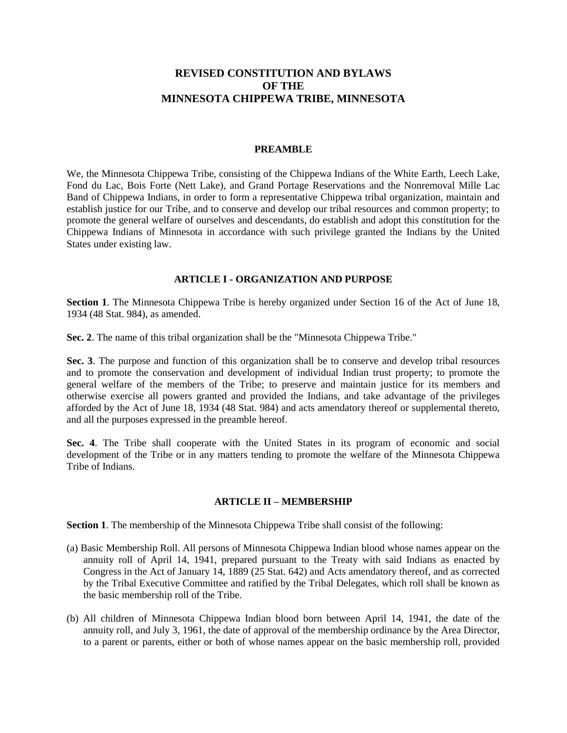# **REVISED CONSTITUTION AND BYLAWS OF THE MINNESOTA CHIPPEWA TRIBE, MINNESOTA**

#### **PREAMBLE**

We, the Minnesota Chippewa Tribe, consisting of the Chippewa Indians of the White Earth, Leech Lake, Fond du Lac, Bois Forte (Nett Lake), and Grand Portage Reservations and the Nonremoval Mille Lac Band of Chippewa Indians, in order to form a representative Chippewa tribal organization, maintain and establish justice for our Tribe, and to conserve and develop our tribal resources and common property; to promote the general welfare of ourselves and descendants, do establish and adopt this constitution for the Chippewa Indians of Minnesota in accordance with such privilege granted the Indians by the United States under existing law.

#### **ARTICLE I - ORGANIZATION AND PURPOSE**

**Section 1**. The Minnesota Chippewa Tribe is hereby organized under Section 16 of the Act of June 18, 1934 (48 Stat. 984), as amended.

**Sec. 2**. The name of this tribal organization shall be the "Minnesota Chippewa Tribe."

**Sec. 3**. The purpose and function of this organization shall be to conserve and develop tribal resources and to promote the conservation and development of individual Indian trust property; to promote the general welfare of the members of the Tribe; to preserve and maintain justice for its members and otherwise exercise all powers granted and provided the Indians, and take advantage of the privileges afforded by the Act of June 18, 1934 (48 Stat. 984) and acts amendatory thereof or supplemental thereto, and all the purposes expressed in the preamble hereof.

**Sec. 4**. The Tribe shall cooperate with the United States in its program of economic and social development of the Tribe or in any matters tending to promote the welfare of the Minnesota Chippewa Tribe of Indians.

#### **ARTICLE II – MEMBERSHIP**

**Section 1**. The membership of the Minnesota Chippewa Tribe shall consist of the following:

- (a) Basic Membership Roll. All persons of Minnesota Chippewa Indian blood whose names appear on the annuity roll of April 14, 1941, prepared pursuant to the Treaty with said Indians as enacted by Congress in the Act of January 14, 1889 (25 Stat. 642) and Acts amendatory thereof, and as corrected by the Tribal Executive Committee and ratified by the Tribal Delegates, which roll shall be known as the basic membership roll of the Tribe.
- (b) All children of Minnesota Chippewa Indian blood born between April 14, 1941, the date of the annuity roll, and July 3, 1961, the date of approval of the membership ordinance by the Area Director, to a parent or parents, either or both of whose names appear on the basic membership roll, provided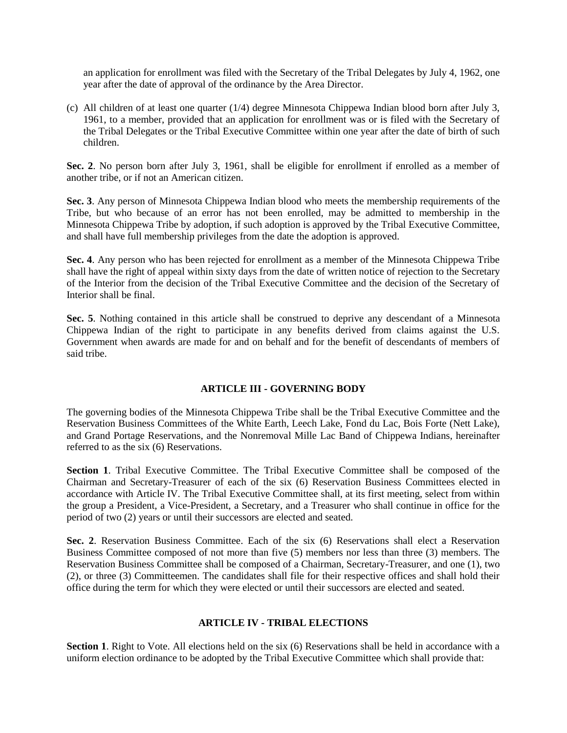an application for enrollment was filed with the Secretary of the Tribal Delegates by July 4, 1962, one year after the date of approval of the ordinance by the Area Director.

(c) All children of at least one quarter (1/4) degree Minnesota Chippewa Indian blood born after July 3, 1961, to a member, provided that an application for enrollment was or is filed with the Secretary of the Tribal Delegates or the Tribal Executive Committee within one year after the date of birth of such children.

**Sec. 2**. No person born after July 3, 1961, shall be eligible for enrollment if enrolled as a member of another tribe, or if not an American citizen.

**Sec. 3**. Any person of Minnesota Chippewa Indian blood who meets the membership requirements of the Tribe, but who because of an error has not been enrolled, may be admitted to membership in the Minnesota Chippewa Tribe by adoption, if such adoption is approved by the Tribal Executive Committee, and shall have full membership privileges from the date the adoption is approved.

**Sec. 4**. Any person who has been rejected for enrollment as a member of the Minnesota Chippewa Tribe shall have the right of appeal within sixty days from the date of written notice of rejection to the Secretary of the Interior from the decision of the Tribal Executive Committee and the decision of the Secretary of Interior shall be final.

**Sec. 5**. Nothing contained in this article shall be construed to deprive any descendant of a Minnesota Chippewa Indian of the right to participate in any benefits derived from claims against the U.S. Government when awards are made for and on behalf and for the benefit of descendants of members of said tribe.

# **ARTICLE III - GOVERNING BODY**

The governing bodies of the Minnesota Chippewa Tribe shall be the Tribal Executive Committee and the Reservation Business Committees of the White Earth, Leech Lake, Fond du Lac, Bois Forte (Nett Lake), and Grand Portage Reservations, and the Nonremoval Mille Lac Band of Chippewa Indians, hereinafter referred to as the six (6) Reservations.

**Section 1**. Tribal Executive Committee. The Tribal Executive Committee shall be composed of the Chairman and Secretary-Treasurer of each of the six (6) Reservation Business Committees elected in accordance with Article IV. The Tribal Executive Committee shall, at its first meeting, select from within the group a President, a Vice-President, a Secretary, and a Treasurer who shall continue in office for the period of two (2) years or until their successors are elected and seated.

Sec. 2. Reservation Business Committee. Each of the six (6) Reservations shall elect a Reservation Business Committee composed of not more than five (5) members nor less than three (3) members. The Reservation Business Committee shall be composed of a Chairman, Secretary-Treasurer, and one (1), two (2), or three (3) Committeemen. The candidates shall file for their respective offices and shall hold their office during the term for which they were elected or until their successors are elected and seated.

### **ARTICLE IV - TRIBAL ELECTIONS**

**Section 1**. Right to Vote. All elections held on the six (6) Reservations shall be held in accordance with a uniform election ordinance to be adopted by the Tribal Executive Committee which shall provide that: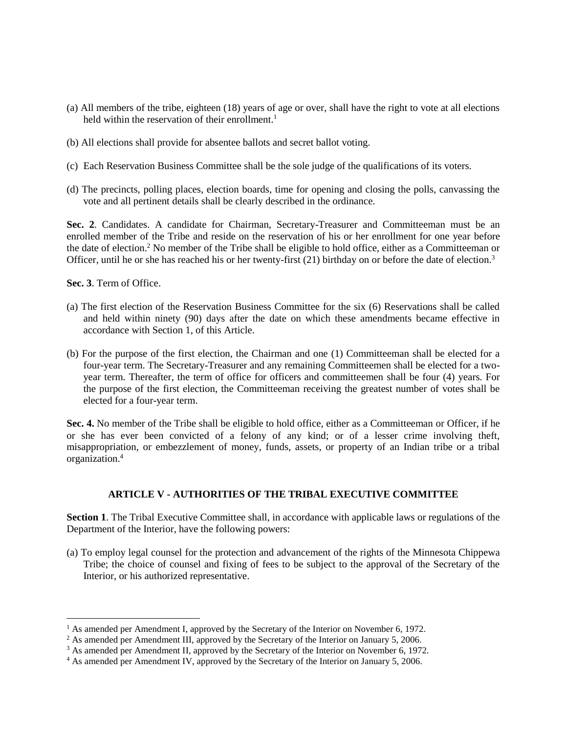- (a) All members of the tribe, eighteen (18) years of age or over, shall have the right to vote at all elections held within the reservation of their enrollment.<sup>1</sup>
- (b) All elections shall provide for absentee ballots and secret ballot voting.
- (c) Each Reservation Business Committee shall be the sole judge of the qualifications of its voters.
- (d) The precincts, polling places, election boards, time for opening and closing the polls, canvassing the vote and all pertinent details shall be clearly described in the ordinance.

**Sec. 2**. Candidates. A candidate for Chairman, Secretary-Treasurer and Committeeman must be an enrolled member of the Tribe and reside on the reservation of his or her enrollment for one year before the date of election.<sup>2</sup> No member of the Tribe shall be eligible to hold office, either as a Committeeman or Officer, until he or she has reached his or her twenty-first (21) birthday on or before the date of election.<sup>3</sup>

**Sec. 3**. Term of Office.

 $\overline{a}$ 

- (a) The first election of the Reservation Business Committee for the six (6) Reservations shall be called and held within ninety (90) days after the date on which these amendments became effective in accordance with Section 1, of this Article.
- (b) For the purpose of the first election, the Chairman and one (1) Committeeman shall be elected for a four-year term. The Secretary-Treasurer and any remaining Committeemen shall be elected for a twoyear term. Thereafter, the term of office for officers and committeemen shall be four (4) years. For the purpose of the first election, the Committeeman receiving the greatest number of votes shall be elected for a four-year term.

**Sec. 4.** No member of the Tribe shall be eligible to hold office, either as a Committeeman or Officer, if he or she has ever been convicted of a felony of any kind; or of a lesser crime involving theft, misappropriation, or embezzlement of money, funds, assets, or property of an Indian tribe or a tribal organization.<sup>4</sup>

# **ARTICLE V - AUTHORITIES OF THE TRIBAL EXECUTIVE COMMITTEE**

**Section 1**. The Tribal Executive Committee shall, in accordance with applicable laws or regulations of the Department of the Interior, have the following powers:

(a) To employ legal counsel for the protection and advancement of the rights of the Minnesota Chippewa Tribe; the choice of counsel and fixing of fees to be subject to the approval of the Secretary of the Interior, or his authorized representative.

<sup>&</sup>lt;sup>1</sup> As amended per Amendment I, approved by the Secretary of the Interior on November 6, 1972.

<sup>&</sup>lt;sup>2</sup> As amended per Amendment III, approved by the Secretary of the Interior on January 5, 2006.

<sup>&</sup>lt;sup>3</sup> As amended per Amendment II, approved by the Secretary of the Interior on November 6, 1972.

<sup>&</sup>lt;sup>4</sup> As amended per Amendment IV, approved by the Secretary of the Interior on January 5, 2006.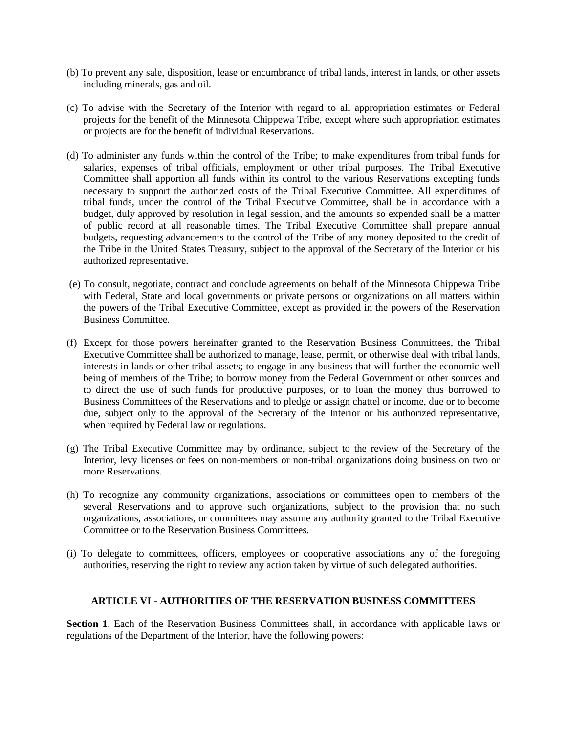- (b) To prevent any sale, disposition, lease or encumbrance of tribal lands, interest in lands, or other assets including minerals, gas and oil.
- (c) To advise with the Secretary of the Interior with regard to all appropriation estimates or Federal projects for the benefit of the Minnesota Chippewa Tribe, except where such appropriation estimates or projects are for the benefit of individual Reservations.
- (d) To administer any funds within the control of the Tribe; to make expenditures from tribal funds for salaries, expenses of tribal officials, employment or other tribal purposes. The Tribal Executive Committee shall apportion all funds within its control to the various Reservations excepting funds necessary to support the authorized costs of the Tribal Executive Committee. All expenditures of tribal funds, under the control of the Tribal Executive Committee, shall be in accordance with a budget, duly approved by resolution in legal session, and the amounts so expended shall be a matter of public record at all reasonable times. The Tribal Executive Committee shall prepare annual budgets, requesting advancements to the control of the Tribe of any money deposited to the credit of the Tribe in the United States Treasury, subject to the approval of the Secretary of the Interior or his authorized representative.
- (e) To consult, negotiate, contract and conclude agreements on behalf of the Minnesota Chippewa Tribe with Federal, State and local governments or private persons or organizations on all matters within the powers of the Tribal Executive Committee, except as provided in the powers of the Reservation Business Committee.
- (f) Except for those powers hereinafter granted to the Reservation Business Committees, the Tribal Executive Committee shall be authorized to manage, lease, permit, or otherwise deal with tribal lands, interests in lands or other tribal assets; to engage in any business that will further the economic well being of members of the Tribe; to borrow money from the Federal Government or other sources and to direct the use of such funds for productive purposes, or to loan the money thus borrowed to Business Committees of the Reservations and to pledge or assign chattel or income, due or to become due, subject only to the approval of the Secretary of the Interior or his authorized representative, when required by Federal law or regulations.
- (g) The Tribal Executive Committee may by ordinance, subject to the review of the Secretary of the Interior, levy licenses or fees on non-members or non-tribal organizations doing business on two or more Reservations.
- (h) To recognize any community organizations, associations or committees open to members of the several Reservations and to approve such organizations, subject to the provision that no such organizations, associations, or committees may assume any authority granted to the Tribal Executive Committee or to the Reservation Business Committees.
- (i) To delegate to committees, officers, employees or cooperative associations any of the foregoing authorities, reserving the right to review any action taken by virtue of such delegated authorities.

# **ARTICLE VI - AUTHORITIES OF THE RESERVATION BUSINESS COMMITTEES**

**Section 1**. Each of the Reservation Business Committees shall, in accordance with applicable laws or regulations of the Department of the Interior, have the following powers: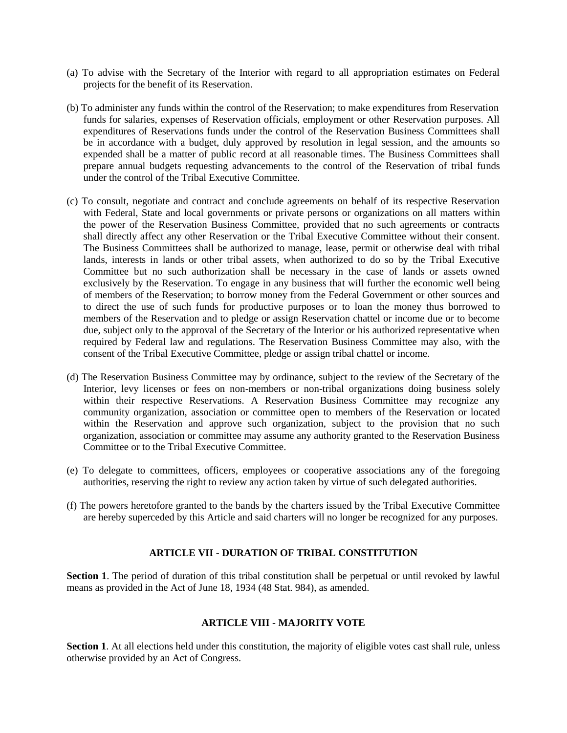- (a) To advise with the Secretary of the Interior with regard to all appropriation estimates on Federal projects for the benefit of its Reservation.
- (b) To administer any funds within the control of the Reservation; to make expenditures from Reservation funds for salaries, expenses of Reservation officials, employment or other Reservation purposes. All expenditures of Reservations funds under the control of the Reservation Business Committees shall be in accordance with a budget, duly approved by resolution in legal session, and the amounts so expended shall be a matter of public record at all reasonable times. The Business Committees shall prepare annual budgets requesting advancements to the control of the Reservation of tribal funds under the control of the Tribal Executive Committee.
- (c) To consult, negotiate and contract and conclude agreements on behalf of its respective Reservation with Federal, State and local governments or private persons or organizations on all matters within the power of the Reservation Business Committee, provided that no such agreements or contracts shall directly affect any other Reservation or the Tribal Executive Committee without their consent. The Business Committees shall be authorized to manage, lease, permit or otherwise deal with tribal lands, interests in lands or other tribal assets, when authorized to do so by the Tribal Executive Committee but no such authorization shall be necessary in the case of lands or assets owned exclusively by the Reservation. To engage in any business that will further the economic well being of members of the Reservation; to borrow money from the Federal Government or other sources and to direct the use of such funds for productive purposes or to loan the money thus borrowed to members of the Reservation and to pledge or assign Reservation chattel or income due or to become due, subject only to the approval of the Secretary of the Interior or his authorized representative when required by Federal law and regulations. The Reservation Business Committee may also, with the consent of the Tribal Executive Committee, pledge or assign tribal chattel or income.
- (d) The Reservation Business Committee may by ordinance, subject to the review of the Secretary of the Interior, levy licenses or fees on non-members or non-tribal organizations doing business solely within their respective Reservations. A Reservation Business Committee may recognize any community organization, association or committee open to members of the Reservation or located within the Reservation and approve such organization, subject to the provision that no such organization, association or committee may assume any authority granted to the Reservation Business Committee or to the Tribal Executive Committee.
- (e) To delegate to committees, officers, employees or cooperative associations any of the foregoing authorities, reserving the right to review any action taken by virtue of such delegated authorities.
- (f) The powers heretofore granted to the bands by the charters issued by the Tribal Executive Committee are hereby superceded by this Article and said charters will no longer be recognized for any purposes.

#### **ARTICLE VII - DURATION OF TRIBAL CONSTITUTION**

**Section 1**. The period of duration of this tribal constitution shall be perpetual or until revoked by lawful means as provided in the Act of June 18, 1934 (48 Stat. 984), as amended.

# **ARTICLE VIII - MAJORITY VOTE**

**Section 1**. At all elections held under this constitution, the majority of eligible votes cast shall rule, unless otherwise provided by an Act of Congress.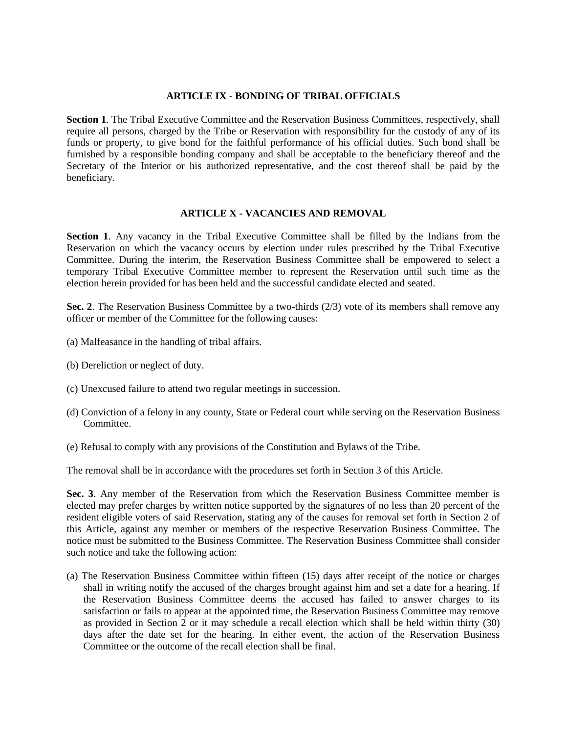#### **ARTICLE IX - BONDING OF TRIBAL OFFICIALS**

**Section 1.** The Tribal Executive Committee and the Reservation Business Committees, respectively, shall require all persons, charged by the Tribe or Reservation with responsibility for the custody of any of its funds or property, to give bond for the faithful performance of his official duties. Such bond shall be furnished by a responsible bonding company and shall be acceptable to the beneficiary thereof and the Secretary of the Interior or his authorized representative, and the cost thereof shall be paid by the beneficiary.

### **ARTICLE X - VACANCIES AND REMOVAL**

**Section 1**. Any vacancy in the Tribal Executive Committee shall be filled by the Indians from the Reservation on which the vacancy occurs by election under rules prescribed by the Tribal Executive Committee. During the interim, the Reservation Business Committee shall be empowered to select a temporary Tribal Executive Committee member to represent the Reservation until such time as the election herein provided for has been held and the successful candidate elected and seated.

**Sec. 2**. The Reservation Business Committee by a two-thirds (2/3) vote of its members shall remove any officer or member of the Committee for the following causes:

- (a) Malfeasance in the handling of tribal affairs.
- (b) Dereliction or neglect of duty.
- (c) Unexcused failure to attend two regular meetings in succession.
- (d) Conviction of a felony in any county, State or Federal court while serving on the Reservation Business **Committee**
- (e) Refusal to comply with any provisions of the Constitution and Bylaws of the Tribe.

The removal shall be in accordance with the procedures set forth in Section 3 of this Article.

**Sec. 3**. Any member of the Reservation from which the Reservation Business Committee member is elected may prefer charges by written notice supported by the signatures of no less than 20 percent of the resident eligible voters of said Reservation, stating any of the causes for removal set forth in Section 2 of this Article, against any member or members of the respective Reservation Business Committee. The notice must be submitted to the Business Committee. The Reservation Business Committee shall consider such notice and take the following action:

(a) The Reservation Business Committee within fifteen (15) days after receipt of the notice or charges shall in writing notify the accused of the charges brought against him and set a date for a hearing. If the Reservation Business Committee deems the accused has failed to answer charges to its satisfaction or fails to appear at the appointed time, the Reservation Business Committee may remove as provided in Section  $2$  or it may schedule a recall election which shall be held within thirty (30) days after the date set for the hearing. In either event, the action of the Reservation Business Committee or the outcome of the recall election shall be final.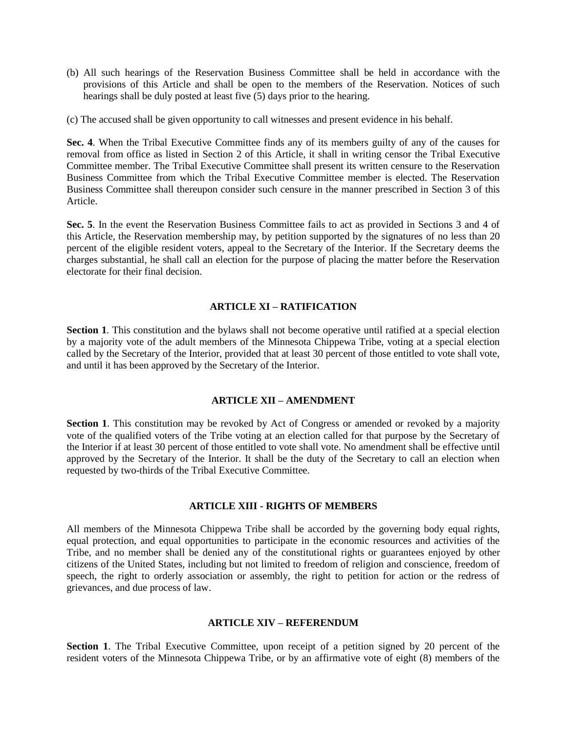(b) All such hearings of the Reservation Business Committee shall be held in accordance with the provisions of this Article and shall be open to the members of the Reservation. Notices of such hearings shall be duly posted at least five (5) days prior to the hearing.

(c) The accused shall be given opportunity to call witnesses and present evidence in his behalf.

**Sec. 4**. When the Tribal Executive Committee finds any of its members guilty of any of the causes for removal from office as listed in Section 2 of this Article, it shall in writing censor the Tribal Executive Committee member. The Tribal Executive Committee shall present its written censure to the Reservation Business Committee from which the Tribal Executive Committee member is elected. The Reservation Business Committee shall thereupon consider such censure in the manner prescribed in Section 3 of this Article.

**Sec. 5**. In the event the Reservation Business Committee fails to act as provided in Sections 3 and 4 of this Article, the Reservation membership may, by petition supported by the signatures of no less than 20 percent of the eligible resident voters, appeal to the Secretary of the Interior. If the Secretary deems the charges substantial, he shall call an election for the purpose of placing the matter before the Reservation electorate for their final decision.

# **ARTICLE XI – RATIFICATION**

**Section 1**. This constitution and the bylaws shall not become operative until ratified at a special election by a majority vote of the adult members of the Minnesota Chippewa Tribe, voting at a special election called by the Secretary of the Interior, provided that at least 30 percent of those entitled to vote shall vote, and until it has been approved by the Secretary of the Interior.

#### **ARTICLE XII – AMENDMENT**

**Section 1**. This constitution may be revoked by Act of Congress or amended or revoked by a majority vote of the qualified voters of the Tribe voting at an election called for that purpose by the Secretary of the Interior if at least 30 percent of those entitled to vote shall vote. No amendment shall be effective until approved by the Secretary of the Interior. It shall be the duty of the Secretary to call an election when requested by two-thirds of the Tribal Executive Committee.

# **ARTICLE XIII - RIGHTS OF MEMBERS**

All members of the Minnesota Chippewa Tribe shall be accorded by the governing body equal rights, equal protection, and equal opportunities to participate in the economic resources and activities of the Tribe, and no member shall be denied any of the constitutional rights or guarantees enjoyed by other citizens of the United States, including but not limited to freedom of religion and conscience, freedom of speech, the right to orderly association or assembly, the right to petition for action or the redress of grievances, and due process of law.

#### **ARTICLE XIV – REFERENDUM**

Section 1. The Tribal Executive Committee, upon receipt of a petition signed by 20 percent of the resident voters of the Minnesota Chippewa Tribe, or by an affirmative vote of eight (8) members of the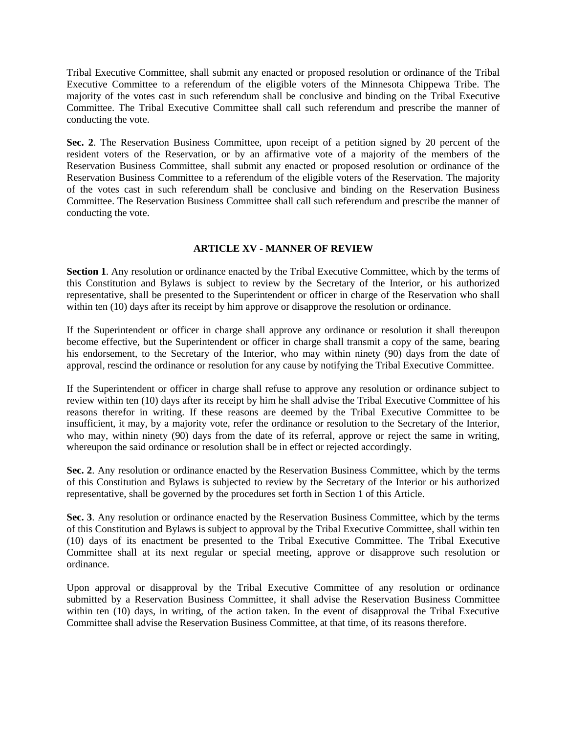Tribal Executive Committee, shall submit any enacted or proposed resolution or ordinance of the Tribal Executive Committee to a referendum of the eligible voters of the Minnesota Chippewa Tribe. The majority of the votes cast in such referendum shall be conclusive and binding on the Tribal Executive Committee. The Tribal Executive Committee shall call such referendum and prescribe the manner of conducting the vote.

Sec. 2. The Reservation Business Committee, upon receipt of a petition signed by 20 percent of the resident voters of the Reservation, or by an affirmative vote of a majority of the members of the Reservation Business Committee, shall submit any enacted or proposed resolution or ordinance of the Reservation Business Committee to a referendum of the eligible voters of the Reservation. The majority of the votes cast in such referendum shall be conclusive and binding on the Reservation Business Committee. The Reservation Business Committee shall call such referendum and prescribe the manner of conducting the vote.

# **ARTICLE XV - MANNER OF REVIEW**

**Section 1**. Any resolution or ordinance enacted by the Tribal Executive Committee, which by the terms of this Constitution and Bylaws is subject to review by the Secretary of the Interior, or his authorized representative, shall be presented to the Superintendent or officer in charge of the Reservation who shall within ten (10) days after its receipt by him approve or disapprove the resolution or ordinance.

If the Superintendent or officer in charge shall approve any ordinance or resolution it shall thereupon become effective, but the Superintendent or officer in charge shall transmit a copy of the same, bearing his endorsement, to the Secretary of the Interior, who may within ninety (90) days from the date of approval, rescind the ordinance or resolution for any cause by notifying the Tribal Executive Committee.

If the Superintendent or officer in charge shall refuse to approve any resolution or ordinance subject to review within ten (10) days after its receipt by him he shall advise the Tribal Executive Committee of his reasons therefor in writing. If these reasons are deemed by the Tribal Executive Committee to be insufficient, it may, by a majority vote, refer the ordinance or resolution to the Secretary of the Interior, who may, within ninety (90) days from the date of its referral, approve or reject the same in writing, whereupon the said ordinance or resolution shall be in effect or rejected accordingly.

**Sec. 2**. Any resolution or ordinance enacted by the Reservation Business Committee, which by the terms of this Constitution and Bylaws is subjected to review by the Secretary of the Interior or his authorized representative, shall be governed by the procedures set forth in Section 1 of this Article.

**Sec. 3**. Any resolution or ordinance enacted by the Reservation Business Committee, which by the terms of this Constitution and Bylaws is subject to approval by the Tribal Executive Committee, shall within ten (10) days of its enactment be presented to the Tribal Executive Committee. The Tribal Executive Committee shall at its next regular or special meeting, approve or disapprove such resolution or ordinance.

Upon approval or disapproval by the Tribal Executive Committee of any resolution or ordinance submitted by a Reservation Business Committee, it shall advise the Reservation Business Committee within ten (10) days, in writing, of the action taken. In the event of disapproval the Tribal Executive Committee shall advise the Reservation Business Committee, at that time, of its reasons therefore.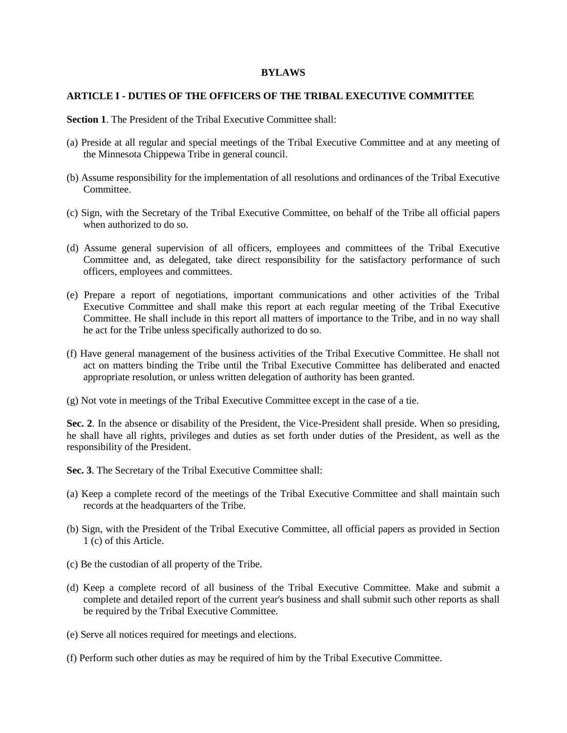#### **BYLAWS**

#### **ARTICLE I - DUTIES OF THE OFFICERS OF THE TRIBAL EXECUTIVE COMMITTEE**

**Section 1**. The President of the Tribal Executive Committee shall:

- (a) Preside at all regular and special meetings of the Tribal Executive Committee and at any meeting of the Minnesota Chippewa Tribe in general council.
- (b) Assume responsibility for the implementation of all resolutions and ordinances of the Tribal Executive Committee.
- (c) Sign, with the Secretary of the Tribal Executive Committee, on behalf of the Tribe all official papers when authorized to do so.
- (d) Assume general supervision of all officers, employees and committees of the Tribal Executive Committee and, as delegated, take direct responsibility for the satisfactory performance of such officers, employees and committees.
- (e) Prepare a report of negotiations, important communications and other activities of the Tribal Executive Committee and shall make this report at each regular meeting of the Tribal Executive Committee. He shall include in this report all matters of importance to the Tribe, and in no way shall he act for the Tribe unless specifically authorized to do so.
- (f) Have general management of the business activities of the Tribal Executive Committee. He shall not act on matters binding the Tribe until the Tribal Executive Committee has deliberated and enacted appropriate resolution, or unless written delegation of authority has been granted.
- (g) Not vote in meetings of the Tribal Executive Committee except in the case of a tie.

**Sec. 2**. In the absence or disability of the President, the Vice-President shall preside. When so presiding, he shall have all rights, privileges and duties as set forth under duties of the President, as well as the responsibility of the President.

**Sec. 3**. The Secretary of the Tribal Executive Committee shall:

- (a) Keep a complete record of the meetings of the Tribal Executive Committee and shall maintain such records at the headquarters of the Tribe.
- (b) Sign, with the President of the Tribal Executive Committee, all official papers as provided in Section 1 (c) of this Article.
- (c) Be the custodian of all property of the Tribe.
- (d) Keep a complete record of all business of the Tribal Executive Committee. Make and submit a complete and detailed report of the current year's business and shall submit such other reports as shall be required by the Tribal Executive Committee.
- (e) Serve all notices required for meetings and elections.
- (f) Perform such other duties as may be required of him by the Tribal Executive Committee.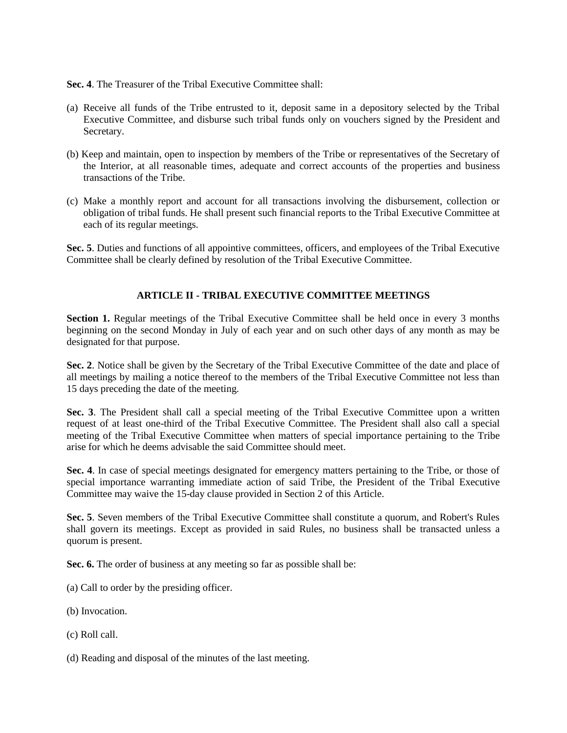**Sec. 4**. The Treasurer of the Tribal Executive Committee shall:

- (a) Receive all funds of the Tribe entrusted to it, deposit same in a depository selected by the Tribal Executive Committee, and disburse such tribal funds only on vouchers signed by the President and Secretary.
- (b) Keep and maintain, open to inspection by members of the Tribe or representatives of the Secretary of the Interior, at all reasonable times, adequate and correct accounts of the properties and business transactions of the Tribe.
- (c) Make a monthly report and account for all transactions involving the disbursement, collection or obligation of tribal funds. He shall present such financial reports to the Tribal Executive Committee at each of its regular meetings.

**Sec. 5**. Duties and functions of all appointive committees, officers, and employees of the Tribal Executive Committee shall be clearly defined by resolution of the Tribal Executive Committee.

# **ARTICLE II - TRIBAL EXECUTIVE COMMITTEE MEETINGS**

**Section 1.** Regular meetings of the Tribal Executive Committee shall be held once in every 3 months beginning on the second Monday in July of each year and on such other days of any month as may be designated for that purpose.

**Sec. 2**. Notice shall be given by the Secretary of the Tribal Executive Committee of the date and place of all meetings by mailing a notice thereof to the members of the Tribal Executive Committee not less than 15 days preceding the date of the meeting.

Sec. 3. The President shall call a special meeting of the Tribal Executive Committee upon a written request of at least one-third of the Tribal Executive Committee. The President shall also call a special meeting of the Tribal Executive Committee when matters of special importance pertaining to the Tribe arise for which he deems advisable the said Committee should meet.

**Sec. 4**. In case of special meetings designated for emergency matters pertaining to the Tribe, or those of special importance warranting immediate action of said Tribe, the President of the Tribal Executive Committee may waive the 15-day clause provided in Section 2 of this Article.

**Sec. 5**. Seven members of the Tribal Executive Committee shall constitute a quorum, and Robert's Rules shall govern its meetings. Except as provided in said Rules, no business shall be transacted unless a quorum is present.

**Sec. 6.** The order of business at any meeting so far as possible shall be:

(a) Call to order by the presiding officer.

- (b) Invocation.
- (c) Roll call.

(d) Reading and disposal of the minutes of the last meeting.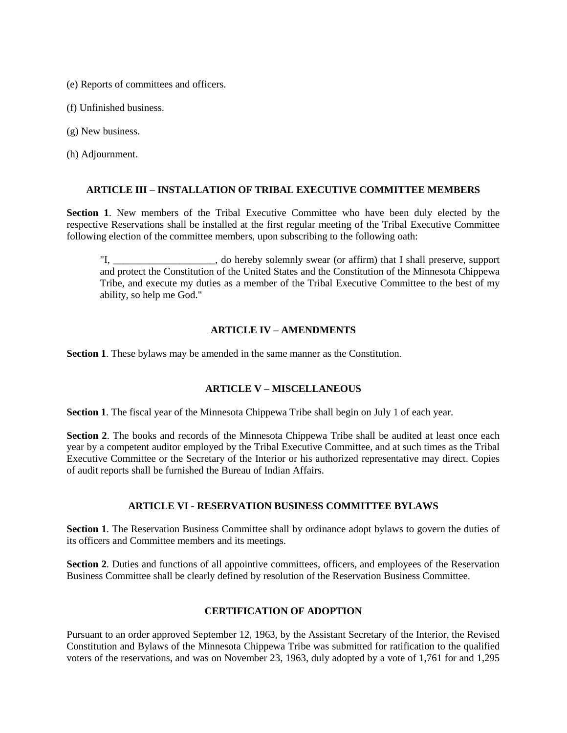(e) Reports of committees and officers.

(f) Unfinished business.

(g) New business.

(h) Adjournment.

### **ARTICLE III – INSTALLATION OF TRIBAL EXECUTIVE COMMITTEE MEMBERS**

**Section 1**. New members of the Tribal Executive Committee who have been duly elected by the respective Reservations shall be installed at the first regular meeting of the Tribal Executive Committee following election of the committee members, upon subscribing to the following oath:

"I, \_\_\_\_\_\_\_\_\_\_\_\_\_\_\_\_\_\_\_\_, do hereby solemnly swear (or affirm) that I shall preserve, support and protect the Constitution of the United States and the Constitution of the Minnesota Chippewa Tribe, and execute my duties as a member of the Tribal Executive Committee to the best of my ability, so help me God."

# **ARTICLE IV – AMENDMENTS**

**Section 1**. These bylaws may be amended in the same manner as the Constitution.

# **ARTICLE V – MISCELLANEOUS**

**Section 1**. The fiscal year of the Minnesota Chippewa Tribe shall begin on July 1 of each year.

**Section 2**. The books and records of the Minnesota Chippewa Tribe shall be audited at least once each year by a competent auditor employed by the Tribal Executive Committee, and at such times as the Tribal Executive Committee or the Secretary of the Interior or his authorized representative may direct. Copies of audit reports shall be furnished the Bureau of Indian Affairs.

# **ARTICLE VI - RESERVATION BUSINESS COMMITTEE BYLAWS**

Section 1. The Reservation Business Committee shall by ordinance adopt bylaws to govern the duties of its officers and Committee members and its meetings.

**Section 2.** Duties and functions of all appointive committees, officers, and employees of the Reservation Business Committee shall be clearly defined by resolution of the Reservation Business Committee.

# **CERTIFICATION OF ADOPTION**

Pursuant to an order approved September 12, 1963, by the Assistant Secretary of the Interior, the Revised Constitution and Bylaws of the Minnesota Chippewa Tribe was submitted for ratification to the qualified voters of the reservations, and was on November 23, 1963, duly adopted by a vote of 1,761 for and 1,295